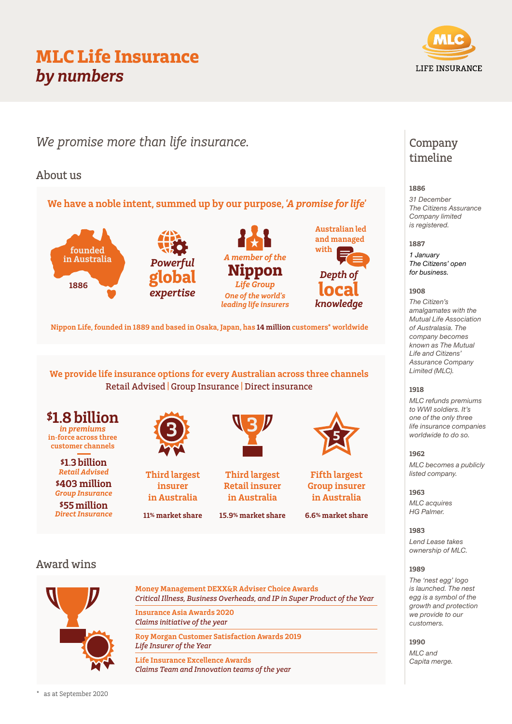# MLC Life Insurance by numbers

We promise more than life insurance.

## About us

We have a noble intent, summed up by our purpose, 'A promise for life'







Nippon Life, founded in 1889 and based in Osaka, Japan, has 14 million customers\* worldwide

We provide life insurance options for every Australian across three channels Retail Advised | Group Insurance | Direct insurance



customer channels

\$1.3 billion Retail Advised \$403 million

Group Insurance \$55 million Direct Insurance





11% market share



Third largest Retail insurer in Australia

15.9% market share



Fifth largest Group insurer in Australia

6.6% market share

## Award wins



Money Management DEXX&R Adviser Choice Awards Critical Illness, Business Overheads, and IP in Super Product of the Year

Insurance Asia Awards 2020 Claims initiative of the year

Roy Morgan Customer Satisfaction Awards 2019 Life Insurer of the Year

Life Insurance Excellence Awards Claims Team and Innovation teams of the year

## Company timeline

## 1886

*31 December The Citizens Assurance Company limited is registered.*

## 1887

*1 January The Citizens' open for business.*

## 1908

*The Citizen's amalgamates with the Mutual Life Association of Australasia. The company becomes known as The Mutual Life and Citizens' Assurance Company Limited (MLC).*

## 1918

*MLC refunds premiums to WWI soldiers. It's one of the only three life insurance companies worldwide to do so.*

## 1962

*MLC becomes a publicly listed company.*

## 1963

*MLC acquires HG Palmer.*

1983

*Lend Lease takes ownership of MLC.*

## 1989

*The 'nest egg' logo is launched. The nest egg is a symbol of the growth and protection we provide to our customers.*

## 1990

*MLC and Capita merge.*